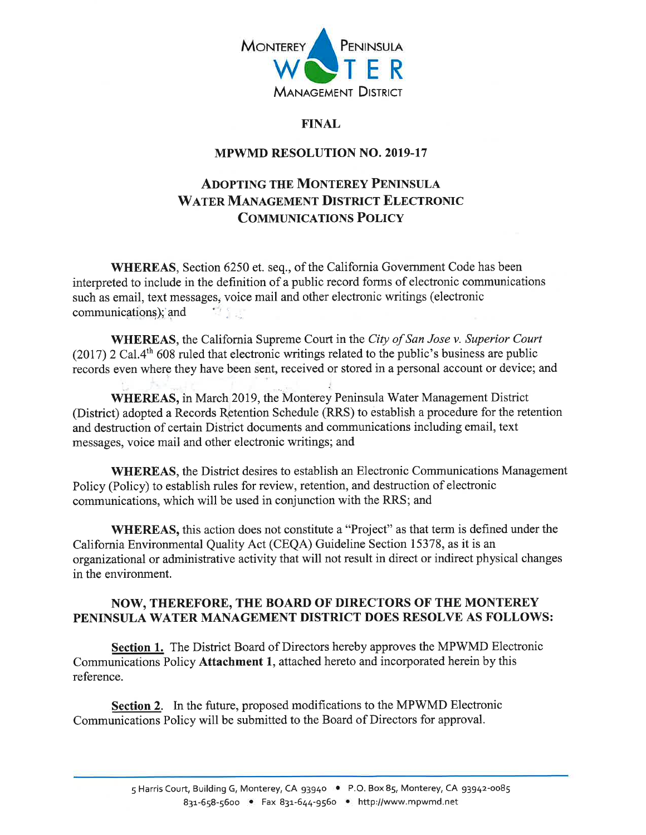

## **FINAL**

## **MPWMD RESOLUTION NO. 2019-17**

# **ADOPTING THE MONTEREY PENINSULA WATER MANAGEMENT DISTRICT ELECTRONIC COMMUNICATIONS POLICY**

**WHEREAS**, Section 6250 et. seq., of the California Government Code has been interpreted to include in the definition of a public record forms of electronic communications such as email, text messages, voice mail and other electronic writings (electronic  $\begin{array}{cc} \mathbf{A} & \mathbf{I} & \mathbf{I} \\ \mathbf{I} & \mathbf{I} & \mathbf{I} \end{array}$ communications); and

**WHEREAS**, the California Supreme Court in the City of San Jose v. Superior Court  $(2017)$  2 Cal.4<sup>th</sup> 608 ruled that electronic writings related to the public's business are public records even where they have been sent, received or stored in a personal account or device; and

WHEREAS, in March 2019, the Monterey Peninsula Water Management District (District) adopted a Records Retention Schedule (RRS) to establish a procedure for the retention and destruction of certain District documents and communications including email, text messages, voice mail and other electronic writings; and

**WHEREAS**, the District desires to establish an Electronic Communications Management Policy (Policy) to establish rules for review, retention, and destruction of electronic communications, which will be used in conjunction with the RRS; and

**WHEREAS**, this action does not constitute a "Project" as that term is defined under the California Environmental Quality Act (CEQA) Guideline Section 15378, as it is an organizational or administrative activity that will not result in direct or indirect physical changes in the environment.

## NOW, THEREFORE, THE BOARD OF DIRECTORS OF THE MONTEREY PENINSULA WATER MANAGEMENT DISTRICT DOES RESOLVE AS FOLLOWS:

**Section 1.** The District Board of Directors hereby approves the MPWMD Electronic Communications Policy Attachment 1, attached hereto and incorporated herein by this reference.

**Section 2.** In the future, proposed modifications to the MPWMD Electronic Communications Policy will be submitted to the Board of Directors for approval.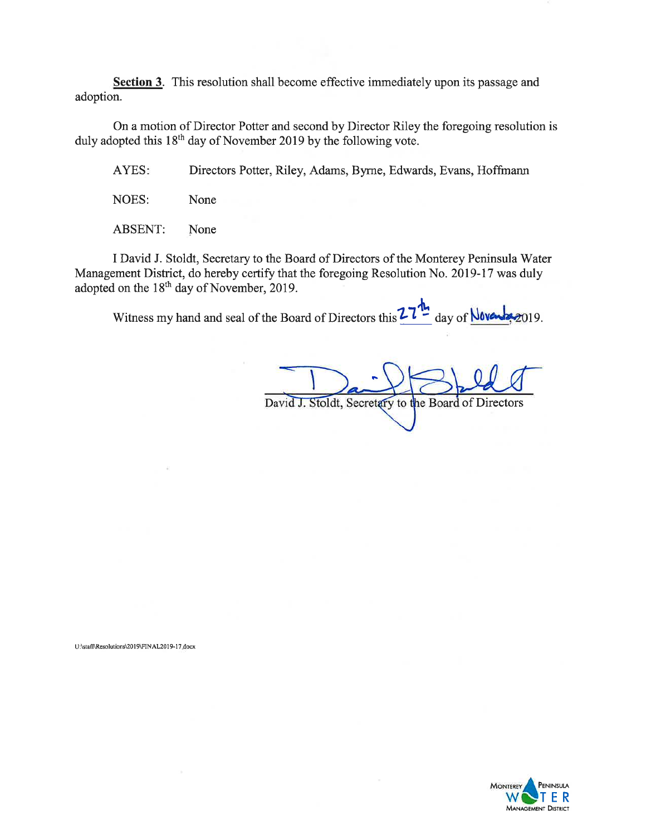Section 3. This resolution shall become effective immediately upon its passage and adoption.

On a motion of Director Potter and second by Director Riley the foregoing resolution is duly adopted this  $18<sup>th</sup>$  day of November 2019 by the following vote.

AYES: Directors Potter, Riley, Adams, Byrne, Edwards, Evans, Hoffmann

NOES: None

**ABSENT:** None

I David J. Stoldt, Secretary to the Board of Directors of the Monterey Peninsula Water Management District, do hereby certify that the foregoing Resolution No. 2019-17 was duly adopted on the 18<sup>th</sup> day of November, 2019.

Witness my hand and seal of the Board of Directors this 27 day of **Noven** 019.

David J. Stoldt, Secretary to the Board of Directors

U:\staff\Resolutions\2019\FINAL2019-17.docx

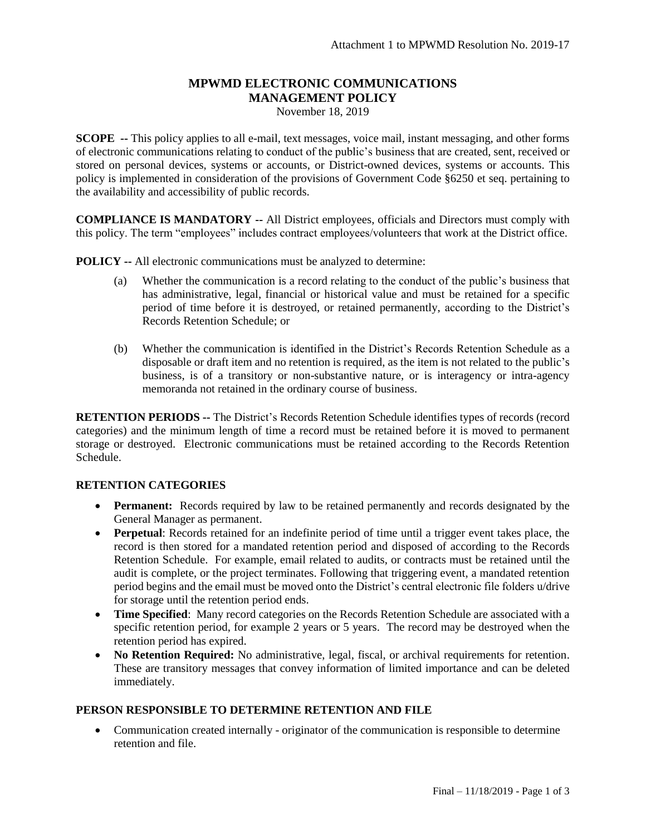# **MPWMD ELECTRONIC COMMUNICATIONS MANAGEMENT POLICY**

November 18, 2019

**SCOPE --** This policy applies to all e-mail, text messages, voice mail, instant messaging, and other forms of electronic communications relating to conduct of the public's business that are created, sent, received or stored on personal devices, systems or accounts, or District-owned devices, systems or accounts. This policy is implemented in consideration of the provisions of Government Code §6250 et seq. pertaining to the availability and accessibility of public records.

**COMPLIANCE IS MANDATORY --** All District employees, officials and Directors must comply with this policy. The term "employees" includes contract employees/volunteers that work at the District office.

**POLICY --** All electronic communications must be analyzed to determine:

- (a) Whether the communication is a record relating to the conduct of the public's business that has administrative, legal, financial or historical value and must be retained for a specific period of time before it is destroyed, or retained permanently, according to the District's Records Retention Schedule; or
- (b) Whether the communication is identified in the District's Records Retention Schedule as a disposable or draft item and no retention is required, as the item is not related to the public's business, is of a transitory or non-substantive nature, or is interagency or intra-agency memoranda not retained in the ordinary course of business.

**RETENTION PERIODS --** The District's Records Retention Schedule identifies types of records (record categories) and the minimum length of time a record must be retained before it is moved to permanent storage or destroyed. Electronic communications must be retained according to the Records Retention Schedule.

#### **RETENTION CATEGORIES**

- **Permanent:** Records required by law to be retained permanently and records designated by the General Manager as permanent.
- **Perpetual**: Records retained for an indefinite period of time until a trigger event takes place, the record is then stored for a mandated retention period and disposed of according to the Records Retention Schedule. For example, email related to audits, or contracts must be retained until the audit is complete, or the project terminates. Following that triggering event, a mandated retention period begins and the email must be moved onto the District's central electronic file folders u/drive for storage until the retention period ends.
- **Time Specified**: Many record categories on the Records Retention Schedule are associated with a specific retention period, for example 2 years or 5 years. The record may be destroyed when the retention period has expired.
- **No Retention Required:** No administrative, legal, fiscal, or archival requirements for retention. These are transitory messages that convey information of limited importance and can be deleted immediately.

#### **PERSON RESPONSIBLE TO DETERMINE RETENTION AND FILE**

 Communication created internally - originator of the communication is responsible to determine retention and file.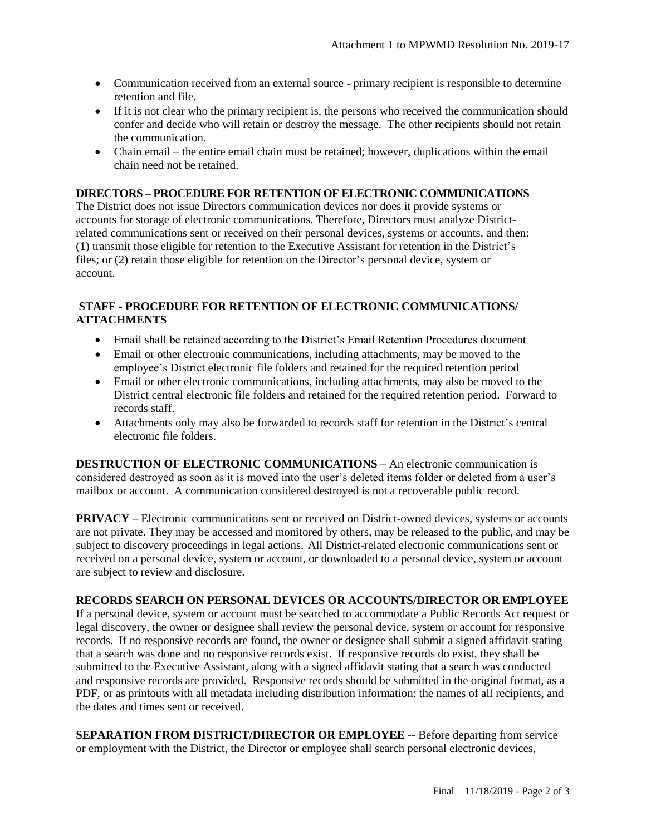- Communication received from an external source primary recipient is responsible to determine retention and file.
- If it is not clear who the primary recipient is, the persons who received the communication should confer and decide who will retain or destroy the message. The other recipients should not retain the communication.
- Chain email the entire email chain must be retained; however, duplications within the email chain need not be retained.

#### **DIRECTORS – PROCEDURE FOR RETENTION OF ELECTRONIC COMMUNICATIONS**

The District does not issue Directors communication devices nor does it provide systems or accounts for storage of electronic communications. Therefore, Directors must analyze Districtrelated communications sent or received on their personal devices, systems or accounts, and then: (1) transmit those eligible for retention to the Executive Assistant for retention in the District's files; or (2) retain those eligible for retention on the Director's personal device, system or account.

### **STAFF - PROCEDURE FOR RETENTION OF ELECTRONIC COMMUNICATIONS/ ATTACHMENTS**

- Email shall be retained according to the District's Email Retention Procedures document
- Email or other electronic communications, including attachments, may be moved to the employee's District electronic file folders and retained for the required retention period
- Email or other electronic communications, including attachments, may also be moved to the District central electronic file folders and retained for the required retention period. Forward to records staff.
- Attachments only may also be forwarded to records staff for retention in the District's central electronic file folders.

**DESTRUCTION OF ELECTRONIC COMMUNICATIONS** – An electronic communication is considered destroyed as soon as it is moved into the user's deleted items folder or deleted from a user's mailbox or account. A communication considered destroyed is not a recoverable public record.

**PRIVACY** – Electronic communications sent or received on District-owned devices, systems or accounts are not private. They may be accessed and monitored by others, may be released to the public, and may be subject to discovery proceedings in legal actions. All District-related electronic communications sent or received on a personal device, system or account, or downloaded to a personal device, system or account are subject to review and disclosure.

### **RECORDS SEARCH ON PERSONAL DEVICES OR ACCOUNTS/DIRECTOR OR EMPLOYEE**

If a personal device, system or account must be searched to accommodate a Public Records Act request or legal discovery, the owner or designee shall review the personal device, system or account for responsive records. If no responsive records are found, the owner or designee shall submit a signed affidavit stating that a search was done and no responsive records exist. If responsive records do exist, they shall be submitted to the Executive Assistant, along with a signed affidavit stating that a search was conducted and responsive records are provided. Responsive records should be submitted in the original format, as a PDF, or as printouts with all metadata including distribution information: the names of all recipients, and the dates and times sent or received.

**SEPARATION FROM DISTRICT/DIRECTOR OR EMPLOYEE --** Before departing from service or employment with the District, the Director or employee shall search personal electronic devices,